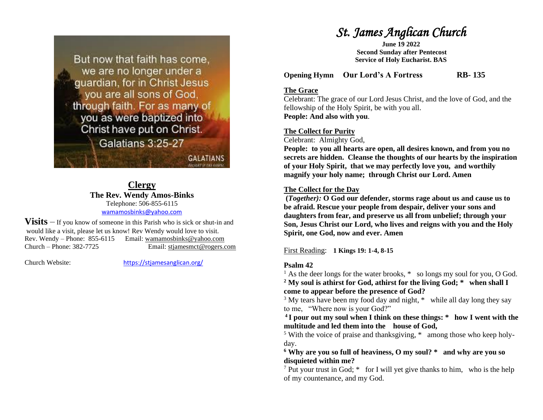

#### **Clergy The Rev. Wendy Amos-Binks** Telephone: 506-855-6115 [wamamosbinks@yahoo.com](mailto:wamamosbinks@yahoo.com)

**Visits** – If you know of someone in this Parish who is sick or shut-in and would like a visit, please let us know! Rev Wendy would love to visit. Rev. Wendy – Phone: 855-6115 Email: wamamosbinks@yahoo.com Church – Phone: 382-7725 Email: [stjamesmct@rogers.com](mailto:stjamesmct@rogers.com)

Church Website: <https://stjamesanglican.org/>

# *St. James Anglican Church*

**June 19 2022 Second Sunday after Pentecost Service of Holy Eucharist. BAS**

**Opening Hymn Our Lord's A Fortress RB- 135**

#### **The Grace**

Celebrant: The grace of our Lord Jesus Christ, and the love of God, and the fellowship of the Holy Spirit, be with you all. **People: And also with you**.

#### **The Collect for Purity**

Celebrant: Almighty God,

**People: to you all hearts are open, all desires known, and from you no secrets are hidden. Cleanse the thoughts of our hearts by the inspiration of your Holy Spirit, that we may perfectly love you, and worthily magnify your holy name; through Christ our Lord. Amen**

#### **The Collect for the Day**

**(***Together):* **O God our defender, storms rage about us and cause us to be afraid. Rescue your people from despair, deliver your sons and daughters from fear, and preserve us all from unbelief; through your Son, Jesus Christ our Lord, who lives and reigns with you and the Holy Spirit, one God, now and ever. Amen**

First Reading: **1 Kings 19: 1-4, 8-15**

#### **Psalm 42**

<sup>1</sup> As the deer longs for the water brooks,  $*$  so longs my soul for you, O God. **<sup>2</sup> My soul is athirst for God, athirst for the living God; \* when shall I** 

**come to appear before the presence of God?** 

<sup>3</sup> My tears have been my food day and night, \* while all day long they say to me, "Where now is your God?"

**<sup>4</sup>I pour out my soul when I think on these things: \* how I went with the multitude and led them into the house of God,** 

<sup>5</sup> With the voice of praise and thanksgiving, \* among those who keep holyday.

**<sup>6</sup> Why are you so full of heaviness, O my soul? \* and why are you so disquieted within me?** 

<sup>7</sup> Put your trust in God;  $*$  for I will yet give thanks to him, who is the help of my countenance, and my God.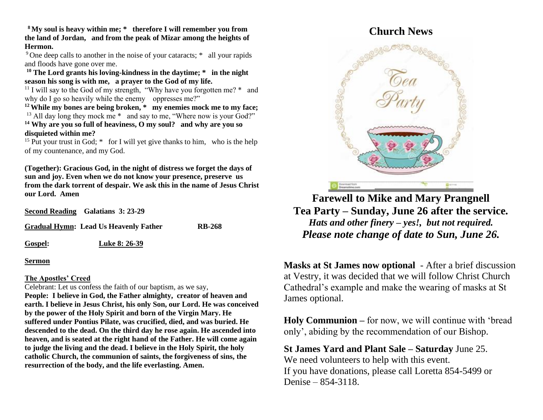**<sup>8</sup>My soul is heavy within me; \* therefore I will remember you from the land of Jordan, and from the peak of Mizar among the heights of Hermon.** 

<sup>9</sup>One deep calls to another in the noise of your cataracts; \* all your rapids and floods have gone over me.

**<sup>10</sup> The Lord grants his loving-kindness in the daytime; \* in the night season his song is with me, a prayer to the God of my life.** 

<sup>11</sup> I will say to the God of my strength, "Why have you forgotten me?  $*$  and why do I go so heavily while the enemy oppresses me?"

**<sup>12</sup>While my bones are being broken, \* my enemies mock me to my face;**  <sup>13</sup> All day long they mock me  $*$  and say to me, "Where now is your God?" **<sup>14</sup> Why are you so full of heaviness, O my soul? and why are you so disquieted within me?** 

<sup>15</sup> Put your trust in God;  $*$  for I will yet give thanks to him, who is the help of my countenance, and my God.

**(Together): Gracious God, in the night of distress we forget the days of sun and joy. Even when we do not know your presence, preserve us from the dark torrent of despair. We ask this in the name of Jesus Christ our Lord. Amen**

|                | Second Reading Galatians 3: 23-29     |               |
|----------------|---------------------------------------|---------------|
|                | Gradual Hymn: Lead Us Heavenly Father | <b>RB-268</b> |
| <b>Gospel:</b> | <b>Luke 8: 26-39</b>                  |               |

**Sermon**

#### **The Apostles' Creed**

Celebrant: Let us confess the faith of our baptism, as we say, **People: I believe in God, the Father almighty, creator of heaven and earth. I believe in Jesus Christ, his only Son, our Lord. He was conceived by the power of the Holy Spirit and born of the Virgin Mary. He suffered under Pontius Pilate, was crucified, died, and was buried. He descended to the dead. On the third day he rose again. He ascended into heaven, and is seated at the right hand of the Father. He will come again to judge the living and the dead. I believe in the Holy Spirit, the holy catholic Church, the communion of saints, the forgiveness of sins, the resurrection of the body, and the life everlasting. Amen.**

## **Church News**



**Farewell to Mike and Mary Prangnell Tea Party – Sunday, June 26 after the service***. Hats and other finery – yes!, but not required. Please note change of date to Sun, June 26.*

**Masks at St James now optional** - After a brief discussion at Vestry, it was decided that we will follow Christ Church Cathedral's example and make the wearing of masks at St James optional.

**Holy Communion –** for now, we will continue with 'bread only', abiding by the recommendation of our Bishop.

**St James Yard and Plant Sale – Saturday** June 25. We need volunteers to help with this event. If you have donations, please call Loretta 854-5499 or Denise – 854-3118.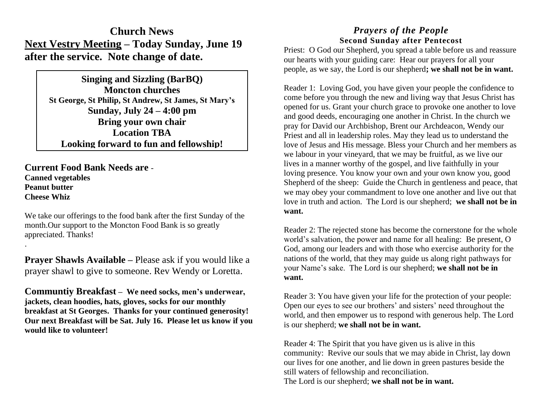## **Church News Next Vestry Meeting – Today Sunday, June 19 after the service. Note change of date.**

**Singing and Sizzling (BarBQ) Moncton churches St George, St Philip, St Andrew, St James, St Mary's Sunday, July 24 – 4:00 pm Bring your own chair Location TBA Looking forward to fun and fellowship!**

**Current Food Bank Needs are** - **Canned vegetables Peanut butter Cheese Whiz**

.

We take our offerings to the food bank after the first Sunday of the month.Our support to the Moncton Food Bank is so greatly appreciated. Thanks!

**Prayer Shawls Available –** Please ask if you would like a prayer shawl to give to someone. Rev Wendy or Loretta.

**Communtiy Breakfast – We need socks, men's underwear, jackets, clean hoodies, hats, gloves, socks for our monthly breakfast at St Georges. Thanks for your continued generosity! Our next Breakfast will be Sat. July 16. Please let us know if you would like to volunteer!**

## *Prayers of the People* **Second Sunday after Pentecost**

Priest: O God our Shepherd, you spread a table before us and reassure our hearts with your guiding care: Hear our prayers for all your people, as we say, the Lord is our shepherd**; we shall not be in want.** 

Reader 1: Loving God, you have given your people the confidence to come before you through the new and living way that Jesus Christ has opened for us. Grant your church grace to provoke one another to love and good deeds, encouraging one another in Christ. In the church we pray for David our Archbishop, Brent our Archdeacon, Wendy our Priest and all in leadership roles. May they lead us to understand the love of Jesus and His message. Bless your Church and her members as we labour in your vineyard, that we may be fruitful, as we live our lives in a manner worthy of the gospel, and live faithfully in your loving presence. You know your own and your own know you, good Shepherd of the sheep: Guide the Church in gentleness and peace, that we may obey your commandment to love one another and live out that love in truth and action. The Lord is our shepherd; **we shall not be in want.**

Reader 2: The rejected stone has become the cornerstone for the whole world's salvation, the power and name for all healing: Be present, O God, among our leaders and with those who exercise authority for the nations of the world, that they may guide us along right pathways for your Name's sake. The Lord is our shepherd; **we shall not be in want.**

Reader 3: You have given your life for the protection of your people: Open our eyes to see our brothers' and sisters' need throughout the world, and then empower us to respond with generous help. The Lord is our shepherd; **we shall not be in want.**

Reader 4: The Spirit that you have given us is alive in this community: Revive our souls that we may abide in Christ, lay down our lives for one another, and lie down in green pastures beside the still waters of fellowship and reconciliation. The Lord is our shepherd; **we shall not be in want.**